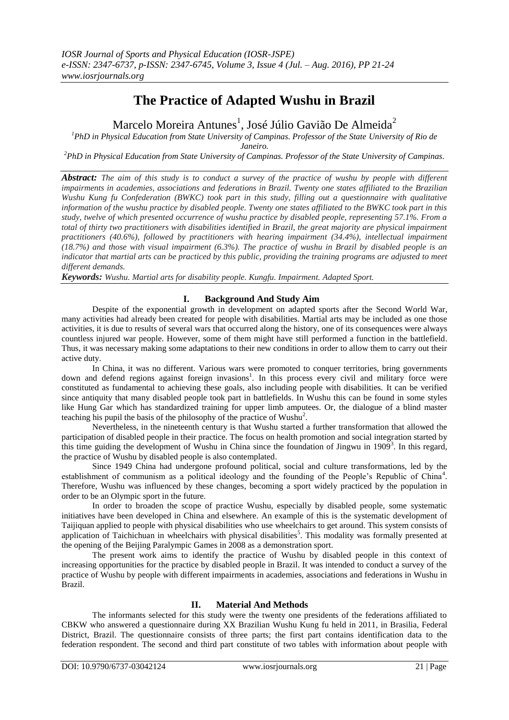# **The Practice of Adapted Wushu in Brazil**

Marcelo Moreira Antunes $^{\rm l}$ , José Júlio Gavião De Almeida $^{\rm 2}$ 

*<sup>1</sup>PhD in Physical Education from State University of Campinas. Professor of the State University of Rio de* 

*Janeiro.*

*<sup>2</sup>PhD in Physical Education from State University of Campinas. Professor of the State University of Campinas.*

*Abstract: The aim of this study is to conduct a survey of the practice of wushu by people with different impairments in academies, associations and federations in Brazil. Twenty one states affiliated to the Brazilian Wushu Kung fu Confederation (BWKC) took part in this study, filling out a questionnaire with qualitative information of the wushu practice by disabled people. Twenty one states affiliated to the BWKC took part in this study, twelve of which presented occurrence of wushu practice by disabled people, representing 57.1%. From a total of thirty two practitioners with disabilities identified in Brazil, the great majority are physical impairment practitioners (40.6%), followed by practitioners with hearing impairment (34.4%), intellectual impairment (18.7%) and those with visual impairment (6.3%). The practice of wushu in Brazil by disabled people is an indicator that martial arts can be practiced by this public, providing the training programs are adjusted to meet different demands.*

*Keywords: Wushu. Martial arts for disability people. Kungfu. Impairment. Adapted Sport.*

# **I. Background And Study Aim**

Despite of the exponential growth in development on adapted sports after the Second World War, many activities had already been created for people with disabilities. Martial arts may be included as one those activities, it is due to results of several wars that occurred along the history, one of its consequences were always countless injured war people. However, some of them might have still performed a function in the battlefield. Thus, it was necessary making some adaptations to their new conditions in order to allow them to carry out their active duty.

In China, it was no different. Various wars were promoted to conquer territories, bring governments down and defend regions against foreign invasions<sup>1</sup>. In this process every civil and military force were constituted as fundamental to achieving these goals, also including people with disabilities. It can be verified since antiquity that many disabled people took part in battlefields. In Wushu this can be found in some styles like Hung Gar which has standardized training for upper limb amputees. Or, the dialogue of a blind master teaching his pupil the basis of the philosophy of the practice of Wushu<sup>2</sup>.

Nevertheless, in the nineteenth century is that Wushu started a further transformation that allowed the participation of disabled people in their practice. The focus on health promotion and social integration started by this time guiding the development of Wushu in China since the foundation of Jingwu in  $1909^3$ . In this regard, the practice of Wushu by disabled people is also contemplated.

Since 1949 China had undergone profound political, social and culture transformations, led by the establishment of communism as a political ideology and the founding of the People's Republic of China<sup>4</sup>. Therefore, Wushu was influenced by these changes, becoming a sport widely practiced by the population in order to be an Olympic sport in the future.

In order to broaden the scope of practice Wushu, especially by disabled people, some systematic initiatives have been developed in China and elsewhere. An example of this is the systematic development of Taijiquan applied to people with physical disabilities who use wheelchairs to get around. This system consists of application of Taichichuan in wheelchairs with physical disabilities<sup>5</sup>. This modality was formally presented at the opening of the Beijing Paralympic Games in 2008 as a demonstration sport.

The present work aims to identify the practice of Wushu by disabled people in this context of increasing opportunities for the practice by disabled people in Brazil. It was intended to conduct a survey of the practice of Wushu by people with different impairments in academies, associations and federations in Wushu in Brazil.

# **II. Material And Methods**

The informants selected for this study were the twenty one presidents of the federations affiliated to CBKW who answered a questionnaire during XX Brazilian Wushu Kung fu held in 2011, in Brasilia, Federal District, Brazil. The questionnaire consists of three parts; the first part contains identification data to the federation respondent. The second and third part constitute of two tables with information about people with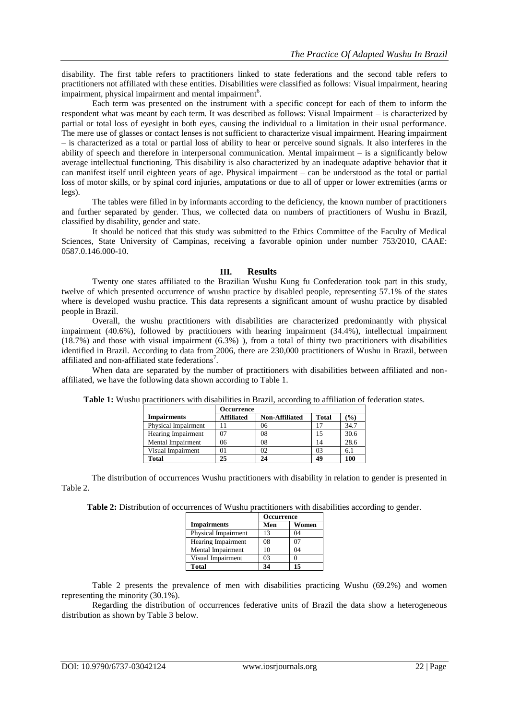disability. The first table refers to practitioners linked to state federations and the second table refers to practitioners not affiliated with these entities. Disabilities were classified as follows: Visual impairment, hearing impairment, physical impairment and mental impairment<sup>6</sup>.

Each term was presented on the instrument with a specific concept for each of them to inform the respondent what was meant by each term. It was described as follows: Visual Impairment – is characterized by partial or total loss of eyesight in both eyes, causing the individual to a limitation in their usual performance. The mere use of glasses or contact lenses is not sufficient to characterize visual impairment. Hearing impairment – is characterized as a total or partial loss of ability to hear or perceive sound signals. It also interferes in the ability of speech and therefore in interpersonal communication. Mental impairment – is a significantly below average intellectual functioning. This disability is also characterized by an inadequate adaptive behavior that it can manifest itself until eighteen years of age. Physical impairment – can be understood as the total or partial loss of motor skills, or by spinal cord injuries, amputations or due to all of upper or lower extremities (arms or legs).

The tables were filled in by informants according to the deficiency, the known number of practitioners and further separated by gender. Thus, we collected data on numbers of practitioners of Wushu in Brazil, classified by disability, gender and state.

It should be noticed that this study was submitted to the Ethics Committee of the Faculty of Medical Sciences, State University of Campinas, receiving a favorable opinion under number 753/2010, CAAE: 0587.0.146.000-10.

#### **III. Results**

Twenty one states affiliated to the Brazilian Wushu Kung fu Confederation took part in this study, twelve of which presented occurrence of wushu practice by disabled people, representing 57.1% of the states where is developed wushu practice. This data represents a significant amount of wushu practice by disabled people in Brazil.

Overall, the wushu practitioners with disabilities are characterized predominantly with physical impairment (40.6%), followed by practitioners with hearing impairment (34.4%), intellectual impairment (18.7%) and those with visual impairment (6.3%) ), from a total of thirty two practitioners with disabilities identified in Brazil. According to data from 2006, there are 230,000 practitioners of Wushu in Brazil, between affiliated and non-affiliated state federations<sup>7</sup>.

When data are separated by the number of practitioners with disabilities between affiliated and nonaffiliated, we have the following data shown according to Table 1.

|                           | Occurrence        |                       |              |                 |  |  |  |  |
|---------------------------|-------------------|-----------------------|--------------|-----------------|--|--|--|--|
| <b>Impairments</b>        | <b>Affiliated</b> | <b>Non-Affiliated</b> | <b>Total</b> | $\mathcal{O}_0$ |  |  |  |  |
| Physical Impairment       |                   | 06                    |              | 34.7            |  |  |  |  |
| <b>Hearing Impairment</b> | 07                | 08                    | 15           | 30.6            |  |  |  |  |
| Mental Impairment         | 06                | 08                    | 14           | 28.6            |  |  |  |  |
| Visual Impairment         | 01                | 02                    | 03           | 6.1             |  |  |  |  |
| <b>Total</b>              | 25                | 24                    | 49           | 100             |  |  |  |  |

**Table 1:** Wushu practitioners with disabilities in Brazil, according to affiliation of federation states.

The distribution of occurrences Wushu practitioners with disability in relation to gender is presented in Table 2.

**Table 2:** Distribution of occurrences of Wushu practitioners with disabilities according to gender.

|                     | <b>Occurrence</b> |       |  |  |  |
|---------------------|-------------------|-------|--|--|--|
| <b>Impairments</b>  | Men               | Women |  |  |  |
| Physical Impairment | 13                | 04    |  |  |  |
| Hearing Impairment  | 08                | O.    |  |  |  |
| Mental Impairment   | 10                | 04    |  |  |  |
| Visual Impairment   | 03                |       |  |  |  |
| <b>Total</b>        | 34                | 15    |  |  |  |

Table 2 presents the prevalence of men with disabilities practicing Wushu (69.2%) and women representing the minority (30.1%).

Regarding the distribution of occurrences federative units of Brazil the data show a heterogeneous distribution as shown by Table 3 below.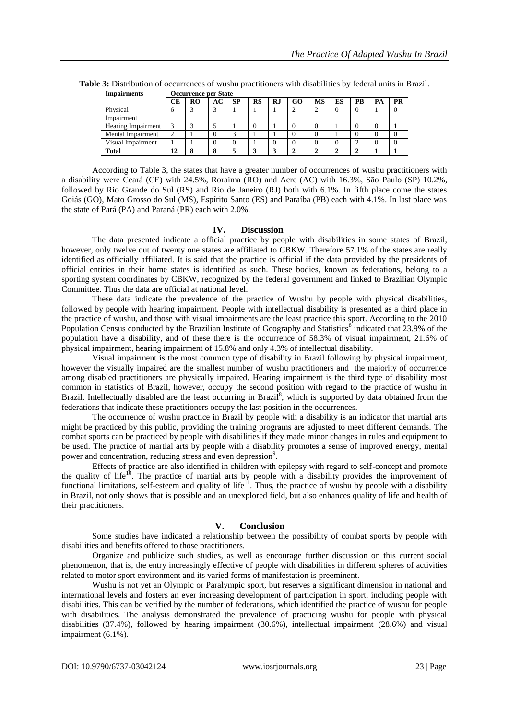| <b>Impairments</b> | <b>Occurrence per State</b> |           |    |           |    |    |    |           |    |    |           |
|--------------------|-----------------------------|-----------|----|-----------|----|----|----|-----------|----|----|-----------|
|                    | CЕ                          | <b>RO</b> | AC | <b>SP</b> | RS | RJ | GO | <b>MS</b> | ES | PB | <b>PR</b> |
| Physical           | h                           | ◠         |    |           |    |    |    |           |    |    |           |
| Impairment         |                             |           |    |           |    |    |    |           |    |    |           |
| Hearing Impairment |                             |           |    |           |    |    |    |           |    |    |           |
| Mental Impairment  |                             |           |    | ◠         |    |    |    |           |    |    |           |
| Visual Impairment  |                             |           |    |           |    |    |    |           |    |    |           |
| <b>Total</b>       | 12                          | o         | 8  |           |    |    |    |           |    |    |           |

**Table 3:** Distribution of occurrences of wushu practitioners with disabilities by federal units in Brazil.

According to Table 3, the states that have a greater number of occurrences of wushu practitioners with a disability were Ceará (CE) with 24.5%, Roraima (RO) and Acre (AC) with 16.3%, São Paulo (SP) 10.2%, followed by Rio Grande do Sul (RS) and Rio de Janeiro (RJ) both with 6.1%. In fifth place come the states Goiás (GO), Mato Grosso do Sul (MS), Espírito Santo (ES) and Paraíba (PB) each with 4.1%. In last place was the state of Pará (PA) and Paraná (PR) each with 2.0%.

#### **IV. Discussion**

The data presented indicate a official practice by people with disabilities in some states of Brazil, however, only twelve out of twenty one states are affiliated to CBKW. Therefore 57.1% of the states are really identified as officially affiliated. It is said that the practice is official if the data provided by the presidents of official entities in their home states is identified as such. These bodies, known as federations, belong to a sporting system coordinates by CBKW, recognized by the federal government and linked to Brazilian Olympic Committee. Thus the data are official at national level.

These data indicate the prevalence of the practice of Wushu by people with physical disabilities, followed by people with hearing impairment. People with intellectual disability is presented as a third place in the practice of wushu, and those with visual impairments are the least practice this sport. According to the 2010 Population Census conducted by the Brazilian Institute of Geography and Statistics  $\delta$  indicated that 23.9% of the population have a disability, and of these there is the occurrence of 58.3% of visual impairment, 21.6% of physical impairment, hearing impairment of 15.8% and only 4.3% of intellectual disability.

Visual impairment is the most common type of disability in Brazil following by physical impairment, however the visually impaired are the smallest number of wushu practitioners and the majority of occurrence among disabled practitioners are physically impaired. Hearing impairment is the third type of disability most common in statistics of Brazil, however, occupy the second position with regard to the practice of wushu in Brazil. Intellectually disabled are the least occurring in Brazil<sup>8</sup>, which is supported by data obtained from the federations that indicate these practitioners occupy the last position in the occurrences.

The occurrence of wushu practice in Brazil by people with a disability is an indicator that martial arts might be practiced by this public, providing the training programs are adjusted to meet different demands. The combat sports can be practiced by people with disabilities if they made minor changes in rules and equipment to be used. The practice of martial arts by people with a disability promotes a sense of improved energy, mental power and concentration, reducing stress and even depression<sup>9</sup>.

Effects of practice are also identified in children with epilepsy with regard to self-concept and promote the quality of life<sup>10</sup>. The practice of martial arts by people with a disability provides the improvement of functional limitations, self-esteem and quality of life<sup>11</sup>. Thus, the practice of wushu by people with a disability in Brazil, not only shows that is possible and an unexplored field, but also enhances quality of life and health of their practitioners.

### **V. Conclusion**

Some studies have indicated a relationship between the possibility of combat sports by people with disabilities and benefits offered to those practitioners.

Organize and publicize such studies, as well as encourage further discussion on this current social phenomenon, that is, the entry increasingly effective of people with disabilities in different spheres of activities related to motor sport environment and its varied forms of manifestation is preeminent.

Wushu is not yet an Olympic or Paralympic sport, but reserves a significant dimension in national and international levels and fosters an ever increasing development of participation in sport, including people with disabilities. This can be verified by the number of federations, which identified the practice of wushu for people with disabilities. The analysis demonstrated the prevalence of practicing wushu for people with physical disabilities (37.4%), followed by hearing impairment (30.6%), intellectual impairment (28.6%) and visual impairment (6.1%).